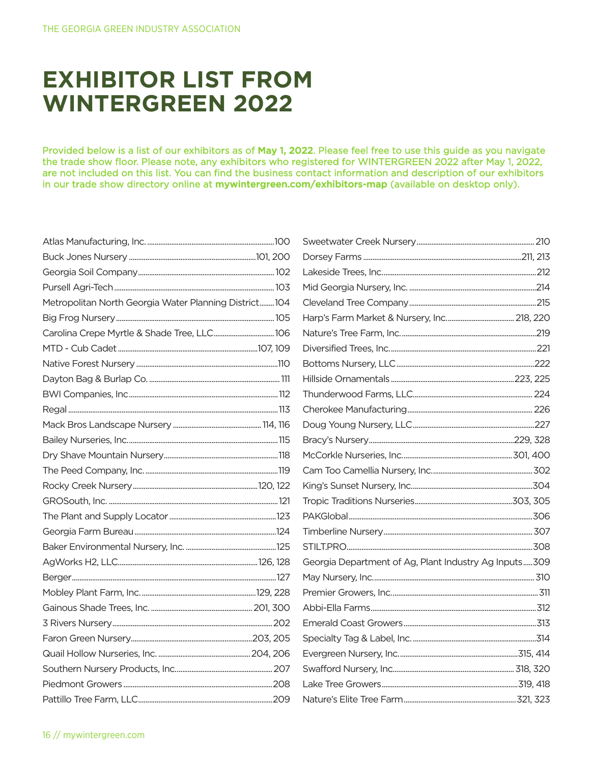## **EXHIBITOR LIST FROM WINTERGREEN 2022**

Provided below is a list of our exhibitors as of May 1, 2022. Please feel free to use this guide as you navigate the trade show floor. Please note, any exhibitors who registered for WINTERGREEN 2022 after May 1, 2022, are not included on this list. You can find the business contact information and description of our exhibitors in our trade show directory online at mywintergreen.com/exhibitors-map (available on desktop only).

| Metropolitan North Georgia Water Planning District104 |  |
|-------------------------------------------------------|--|
|                                                       |  |
| Carolina Crepe Myrtle & Shade Tree, LLC 106           |  |
|                                                       |  |
|                                                       |  |
|                                                       |  |
|                                                       |  |
|                                                       |  |
|                                                       |  |
|                                                       |  |
|                                                       |  |
|                                                       |  |
|                                                       |  |
|                                                       |  |
|                                                       |  |
|                                                       |  |
|                                                       |  |
|                                                       |  |
|                                                       |  |
|                                                       |  |
|                                                       |  |
|                                                       |  |
|                                                       |  |
|                                                       |  |
|                                                       |  |
|                                                       |  |
|                                                       |  |

| Georgia Department of Ag, Plant Industry Ag Inputs309 |  |
|-------------------------------------------------------|--|
|                                                       |  |
|                                                       |  |
|                                                       |  |
|                                                       |  |
|                                                       |  |
|                                                       |  |
|                                                       |  |
|                                                       |  |
|                                                       |  |